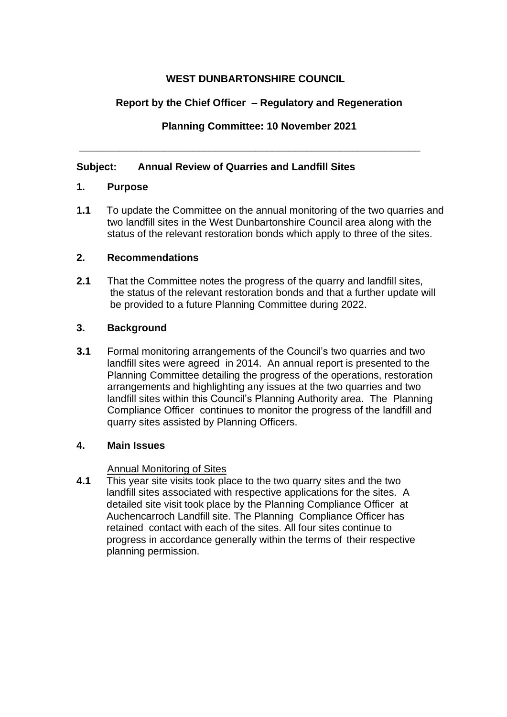# **WEST DUNBARTONSHIRE COUNCIL**

# **Report by the Chief Officer – Regulatory and Regeneration**

**Planning Committee: 10 November 2021** 

**\_\_\_\_\_\_\_\_\_\_\_\_\_\_\_\_\_\_\_\_\_\_\_\_\_\_\_\_\_\_\_\_\_\_\_\_\_\_\_\_\_\_\_\_\_\_\_\_\_\_\_\_\_\_\_\_\_\_\_\_** 

# **Subject: Annual Review of Quarries and Landfill Sites**

## **1. Purpose**

**1.1** To update the Committee on the annual monitoring of the two quarries and two landfill sites in the West Dunbartonshire Council area along with the status of the relevant restoration bonds which apply to three of the sites.

## **2. Recommendations**

**2.1** That the Committee notes the progress of the quarry and landfill sites, the status of the relevant restoration bonds and that a further update will be provided to a future Planning Committee during 2022.

## **3. Background**

**3.1** Formal monitoring arrangements of the Council's two quarries and two landfill sites were agreed in 2014. An annual report is presented to the Planning Committee detailing the progress of the operations, restoration arrangements and highlighting any issues at the two quarries and two landfill sites within this Council's Planning Authority area. The Planning Compliance Officer continues to monitor the progress of the landfill and quarry sites assisted by Planning Officers.

## **4. Main Issues**

### Annual Monitoring of Sites

**4.1** This year site visits took place to the two quarry sites and the two landfill sites associated with respective applications for the sites. A detailed site visit took place by the Planning Compliance Officer at Auchencarroch Landfill site. The Planning Compliance Officer has retained contact with each of the sites. All four sites continue to progress in accordance generally within the terms of their respective planning permission.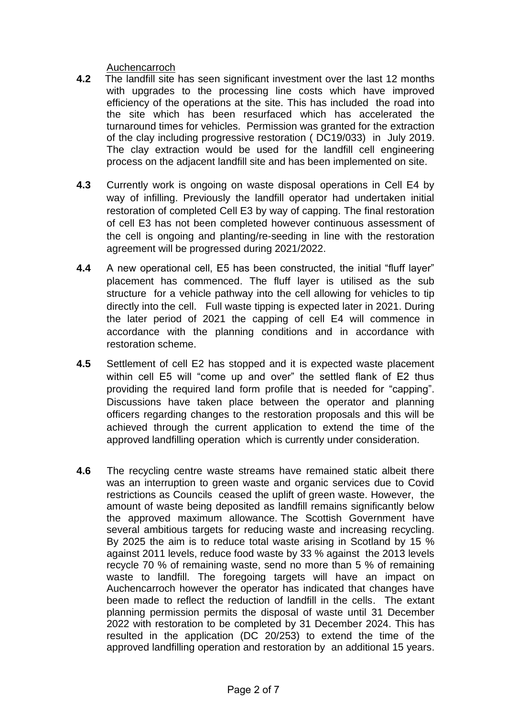### Auchencarroch

- **4.2** The landfill site has seen significant investment over the last 12 months with upgrades to the processing line costs which have improved efficiency of the operations at the site. This has included the road into the site which has been resurfaced which has accelerated the turnaround times for vehicles. Permission was granted for the extraction of the clay including progressive restoration ( DC19/033) in July 2019. The clay extraction would be used for the landfill cell engineering process on the adjacent landfill site and has been implemented on site.
- **4.3** Currently work is ongoing on waste disposal operations in Cell E4 by way of infilling. Previously the landfill operator had undertaken initial restoration of completed Cell E3 by way of capping. The final restoration of cell E3 has not been completed however continuous assessment of the cell is ongoing and planting/re-seeding in line with the restoration agreement will be progressed during 2021/2022.
- **4.4** A new operational cell, E5 has been constructed, the initial "fluff layer" placement has commenced. The fluff layer is utilised as the sub structure for a vehicle pathway into the cell allowing for vehicles to tip directly into the cell. Full waste tipping is expected later in 2021. During the later period of 2021 the capping of cell E4 will commence in accordance with the planning conditions and in accordance with restoration scheme.
- **4.5** Settlement of cell E2 has stopped and it is expected waste placement within cell E5 will "come up and over" the settled flank of E2 thus providing the required land form profile that is needed for "capping". Discussions have taken place between the operator and planning officers regarding changes to the restoration proposals and this will be achieved through the current application to extend the time of the approved landfilling operation which is currently under consideration.
- **4.6** The recycling centre waste streams have remained static albeit there was an interruption to green waste and organic services due to Covid restrictions as Councils ceased the uplift of green waste. However, the amount of waste being deposited as landfill remains significantly below the approved maximum allowance. The Scottish Government have several ambitious targets for reducing waste and increasing recycling. By 2025 the aim is to reduce total waste arising in Scotland by 15 % against 2011 levels, reduce food waste by 33 % against the 2013 levels recycle 70 % of remaining waste, send no more than 5 % of remaining waste to landfill. The foregoing targets will have an impact on Auchencarroch however the operator has indicated that changes have been made to reflect the reduction of landfill in the cells. The extant planning permission permits the disposal of waste until 31 December 2022 with restoration to be completed by 31 December 2024. This has resulted in the application (DC 20/253) to extend the time of the approved landfilling operation and restoration by an additional 15 years.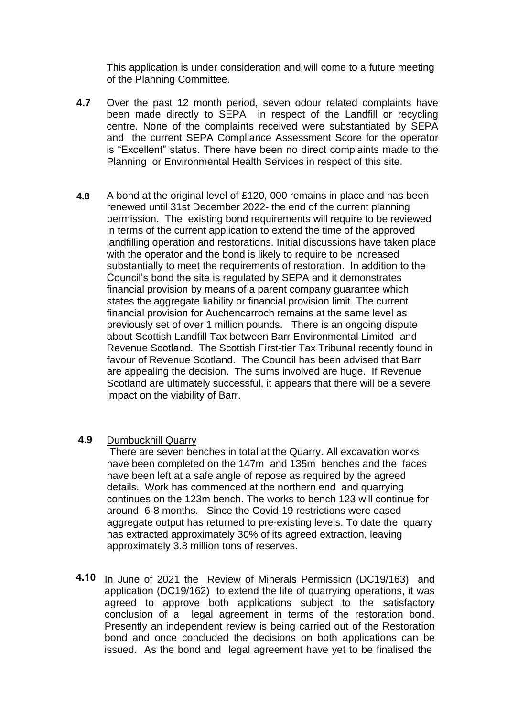This application is under consideration and will come to a future meeting of the Planning Committee.

- **4.7** Over the past 12 month period, seven odour related complaints have been made directly to SEPA in respect of the Landfill or recycling centre. None of the complaints received were substantiated by SEPA and the current SEPA Compliance Assessment Score for the operator is "Excellent" status. There have been no direct complaints made to the Planning or Environmental Health Services in respect of this site.
- **4.8** A bond at the original level of £120, 000 remains in place and has been renewed until 31st December 2022- the end of the current planning permission. The existing bond requirements will require to be reviewed in terms of the current application to extend the time of the approved landfilling operation and restorations. Initial discussions have taken place with the operator and the bond is likely to require to be increased substantially to meet the requirements of restoration. In addition to the Council's bond the site is regulated by SEPA and it demonstrates financial provision by means of a parent company guarantee which states the aggregate liability or financial provision limit. The current financial provision for Auchencarroch remains at the same level as previously set of over 1 million pounds. There is an ongoing dispute about Scottish Landfill Tax between Barr Environmental Limited and Revenue Scotland. The Scottish First-tier Tax Tribunal recently found in favour of Revenue Scotland. The Council has been advised that Barr are appealing the decision. The sums involved are huge. If Revenue Scotland are ultimately successful, it appears that there will be a severe impact on the viability of Barr.
- **4.9** Dumbuckhill Quarry

There are seven benches in total at the Quarry. All excavation works have been completed on the 147m and 135m benches and the faces have been left at a safe angle of repose as required by the agreed details. Work has commenced at the northern end and quarrying continues on the 123m bench. The works to bench 123 will continue for around 6-8 months. Since the Covid-19 restrictions were eased aggregate output has returned to pre-existing levels. To date the quarry has extracted approximately 30% of its agreed extraction, leaving approximately 3.8 million tons of reserves.

4.10 In June of 2021 the Review of Minerals Permission (DC19/163) and application (DC19/162) to extend the life of quarrying operations, it was agreed to approve both applications subject to the satisfactory conclusion of a legal agreement in terms of the restoration bond. Presently an independent review is being carried out of the Restoration bond and once concluded the decisions on both applications can be issued. As the bond and legal agreement have yet to be finalised the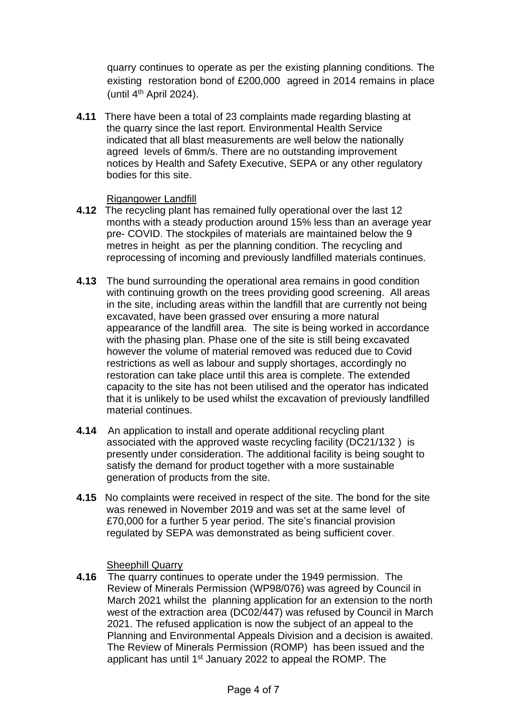quarry continues to operate as per the existing planning conditions. The existing restoration bond of £200,000 agreed in 2014 remains in place (until  $4<sup>th</sup>$  April 2024).

**4.11** There have been a total of 23 complaints made regarding blasting at the quarry since the last report. Environmental Health Service indicated that all blast measurements are well below the nationally agreed levels of 6mm/s. There are no outstanding improvement notices by Health and Safety Executive, SEPA or any other regulatory bodies for this site.

## Rigangower Landfill

- **4.12** The recycling plant has remained fully operational over the last 12 months with a steady production around 15% less than an average year pre- COVID. The stockpiles of materials are maintained below the 9 metres in height as per the planning condition. The recycling and reprocessing of incoming and previously landfilled materials continues.
- **4.13** The bund surrounding the operational area remains in good condition with continuing growth on the trees providing good screening. All areas in the site, including areas within the landfill that are currently not being excavated, have been grassed over ensuring a more natural appearance of the landfill area. The site is being worked in accordance with the phasing plan. Phase one of the site is still being excavated however the volume of material removed was reduced due to Covid restrictions as well as labour and supply shortages, accordingly no restoration can take place until this area is complete. The extended capacity to the site has not been utilised and the operator has indicated that it is unlikely to be used whilst the excavation of previously landfilled material continues.
- **4.14** An application to install and operate additional recycling plant associated with the approved waste recycling facility (DC21/132 ) is presently under consideration. The additional facility is being sought to satisfy the demand for product together with a more sustainable generation of products from the site.
- **4.15** No complaints were received in respect of the site. The bond for the site was renewed in November 2019 and was set at the same level of £70,000 for a further 5 year period. The site's financial provision regulated by SEPA was demonstrated as being sufficient cover.

Sheephill Quarry

**4.16** The quarry continues to operate under the 1949 permission. The Review of Minerals Permission (WP98/076) was agreed by Council in March 2021 whilst the planning application for an extension to the north west of the extraction area (DC02/447) was refused by Council in March 2021. The refused application is now the subject of an appeal to the Planning and Environmental Appeals Division and a decision is awaited. The Review of Minerals Permission (ROMP) has been issued and the applicant has until 1<sup>st</sup> January 2022 to appeal the ROMP. The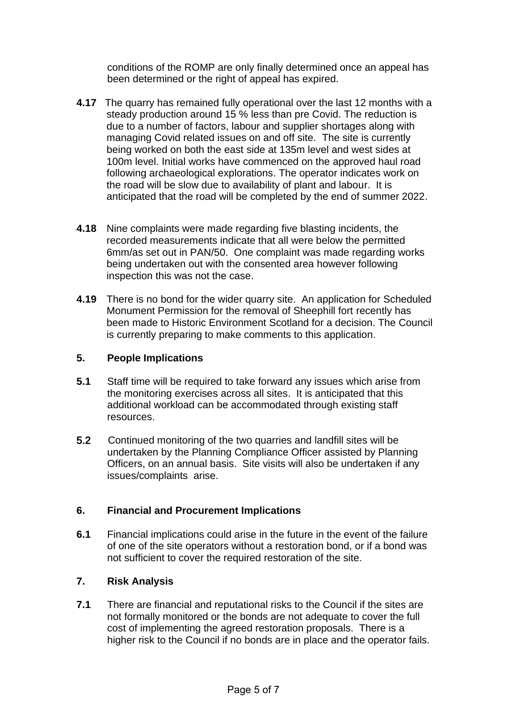conditions of the ROMP are only finally determined once an appeal has been determined or the right of appeal has expired.

- **4.17** The quarry has remained fully operational over the last 12 months with a steady production around 15 % less than pre Covid. The reduction is due to a number of factors, labour and supplier shortages along with managing Covid related issues on and off site. The site is currently being worked on both the east side at 135m level and west sides at 100m level. Initial works have commenced on the approved haul road following archaeological explorations. The operator indicates work on the road will be slow due to availability of plant and labour. It is anticipated that the road will be completed by the end of summer 2022.
- **4.18** Nine complaints were made regarding five blasting incidents, the recorded measurements indicate that all were below the permitted 6mm/as set out in PAN/50. One complaint was made regarding works being undertaken out with the consented area however following inspection this was not the case.
- **4.19** There is no bond for the wider quarry site. An application for Scheduled Monument Permission for the removal of Sheephill fort recently has been made to Historic Environment Scotland for a decision. The Council is currently preparing to make comments to this application.

## **5. People Implications**

- **5.1** Staff time will be required to take forward any issues which arise from the monitoring exercises across all sites. It is anticipated that this additional workload can be accommodated through existing staff resources.
- 5.2 Continued monitoring of the two quarries and landfill sites will be undertaken by the Planning Compliance Officer assisted by Planning Officers, on an annual basis. Site visits will also be undertaken if any issues/complaints arise.

## **6. Financial and Procurement Implications**

**6.1** Financial implications could arise in the future in the event of the failure of one of the site operators without a restoration bond, or if a bond was not sufficient to cover the required restoration of the site.

## **7. Risk Analysis**

**7.1** There are financial and reputational risks to the Council if the sites are not formally monitored or the bonds are not adequate to cover the full cost of implementing the agreed restoration proposals. There is a higher risk to the Council if no bonds are in place and the operator fails.